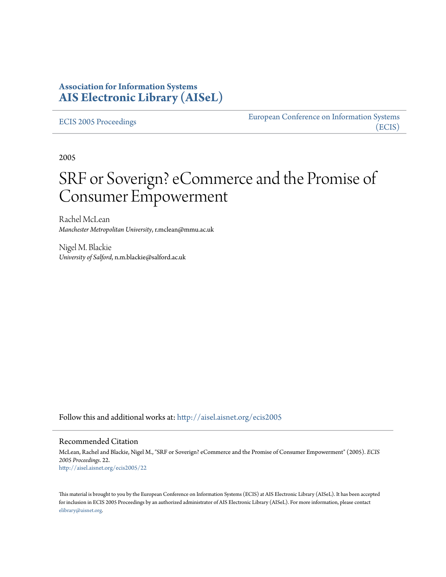### **Association for Information Systems [AIS Electronic Library \(AISeL\)](http://aisel.aisnet.org?utm_source=aisel.aisnet.org%2Fecis2005%2F22&utm_medium=PDF&utm_campaign=PDFCoverPages)**

[ECIS 2005 Proceedings](http://aisel.aisnet.org/ecis2005?utm_source=aisel.aisnet.org%2Fecis2005%2F22&utm_medium=PDF&utm_campaign=PDFCoverPages)

[European Conference on Information Systems](http://aisel.aisnet.org/ecis?utm_source=aisel.aisnet.org%2Fecis2005%2F22&utm_medium=PDF&utm_campaign=PDFCoverPages) [\(ECIS\)](http://aisel.aisnet.org/ecis?utm_source=aisel.aisnet.org%2Fecis2005%2F22&utm_medium=PDF&utm_campaign=PDFCoverPages)

2005

# SRF or Soverign? eCommerce and the Promise of Consumer Empowerment

Rachel McLean *Manchester Metropolitan University*, r.mclean@mmu.ac.uk

Nigel M. Blackie *University of Salford*, n.m.blackie@salford.ac.uk

Follow this and additional works at: [http://aisel.aisnet.org/ecis2005](http://aisel.aisnet.org/ecis2005?utm_source=aisel.aisnet.org%2Fecis2005%2F22&utm_medium=PDF&utm_campaign=PDFCoverPages)

#### Recommended Citation

McLean, Rachel and Blackie, Nigel M., "SRF or Soverign? eCommerce and the Promise of Consumer Empowerment" (2005). *ECIS 2005 Proceedings*. 22. [http://aisel.aisnet.org/ecis2005/22](http://aisel.aisnet.org/ecis2005/22?utm_source=aisel.aisnet.org%2Fecis2005%2F22&utm_medium=PDF&utm_campaign=PDFCoverPages)

This material is brought to you by the European Conference on Information Systems (ECIS) at AIS Electronic Library (AISeL). It has been accepted for inclusion in ECIS 2005 Proceedings by an authorized administrator of AIS Electronic Library (AISeL). For more information, please contact [elibrary@aisnet.org.](mailto:elibrary@aisnet.org%3E)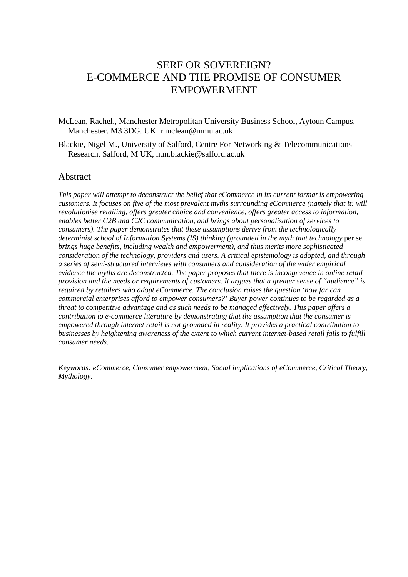# SERF OR SOVEREIGN? E-COMMERCE AND THE PROMISE OF CONSUMER EMPOWERMENT

McLean, Rachel., Manchester Metropolitan University Business School, Aytoun Campus, Manchester. M3 3DG. UK. r.mclean@mmu.ac.uk

Blackie, Nigel M., University of Salford, Centre For Networking & Telecommunications Research, Salford, M UK, n.m.blackie@salford.ac.uk

#### Abstract

*This paper will attempt to deconstruct the belief that eCommerce in its current format is empowering customers. It focuses on five of the most prevalent myths surrounding eCommerce (namely that it: will revolutionise retailing, offers greater choice and convenience, offers greater access to information, enables better C2B and C2C communication, and brings about personalisation of services to consumers). The paper demonstrates that these assumptions derive from the technologically determinist school of Information Systems (IS) thinking (grounded in the myth that technology* per se *brings huge benefits, including wealth and empowerment), and thus merits more sophisticated consideration of the technology, providers and users. A critical epistemology is adopted, and through a series of semi-structured interviews with consumers and consideration of the wider empirical evidence the myths are deconstructed. The paper proposes that there is incongruence in online retail provision and the needs or requirements of customers. It argues that a greater sense of "audience" is required by retailers who adopt eCommerce. The conclusion raises the question 'how far can commercial enterprises afford to empower consumers?' Buyer power continues to be regarded as a threat to competitive advantage and as such needs to be managed effectively. This paper offers a contribution to e-commerce literature by demonstrating that the assumption that the consumer is empowered through internet retail is not grounded in reality. It provides a practical contribution to businesses by heightening awareness of the extent to which current internet-based retail fails to fulfill consumer needs.* 

*Keywords: eCommerce, Consumer empowerment, Social implications of eCommerce, Critical Theory, Mythology.*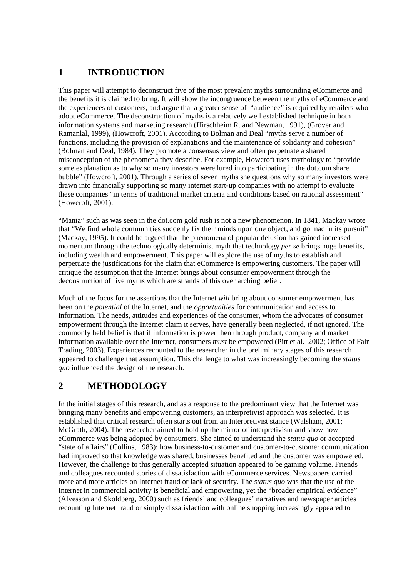### **1 INTRODUCTION**

This paper will attempt to deconstruct five of the most prevalent myths surrounding eCommerce and the benefits it is claimed to bring. It will show the incongruence between the myths of eCommerce and the experiences of customers, and argue that a greater sense of "audience" is required by retailers who adopt eCommerce. The deconstruction of myths is a relatively well established technique in both information systems and marketing research (Hirschheim R. and Newman, 1991), (Grover and Ramanlal, 1999), (Howcroft, 2001). According to Bolman and Deal "myths serve a number of functions, including the provision of explanations and the maintenance of solidarity and cohesion" (Bolman and Deal, 1984). They promote a consensus view and often perpetuate a shared misconception of the phenomena they describe. For example, Howcroft uses mythology to "provide some explanation as to why so many investors were lured into participating in the dot.com share bubble" (Howcroft, 2001). Through a series of seven myths she questions why so many investors were drawn into financially supporting so many internet start-up companies with no attempt to evaluate these companies "in terms of traditional market criteria and conditions based on rational assessment" (Howcroft, 2001).

"Mania" such as was seen in the dot.com gold rush is not a new phenomenon. In 1841, Mackay wrote that "We find whole communities suddenly fix their minds upon one object, and go mad in its pursuit" (Mackay, 1995). It could be argued that the phenomena of popular delusion has gained increased momentum through the technologically determinist myth that technology *per se* brings huge benefits, including wealth and empowerment. This paper will explore the use of myths to establish and perpetuate the justifications for the claim that eCommerce is empowering customers. The paper will critique the assumption that the Internet brings about consumer empowerment through the deconstruction of five myths which are strands of this over arching belief.

Much of the focus for the assertions that the Internet *will* bring about consumer empowerment has been on the *potential* of the Internet, and the *opportunities* for communication and access to information. The needs, attitudes and experiences of the consumer, whom the advocates of consumer empowerment through the Internet claim it serves, have generally been neglected, if not ignored. The commonly held belief is that if information is power then through product, company and market information available over the Internet, consumers *must* be empowered (Pitt et al. 2002; Office of Fair Trading, 2003). Experiences recounted to the researcher in the preliminary stages of this research appeared to challenge that assumption. This challenge to what was increasingly becoming the *status quo* influenced the design of the research.

## **2 METHODOLOGY**

In the initial stages of this research, and as a response to the predominant view that the Internet was bringing many benefits and empowering customers, an interpretivist approach was selected. It is established that critical research often starts out from an Interpretivist stance (Walsham, 2001; McGrath, 2004). The researcher aimed to hold up the mirror of interpretivism and show how eCommerce was being adopted by consumers. She aimed to understand the *status quo* or accepted "state of affairs" (Collins, 1983); how business-to-customer and customer-to-customer communication had improved so that knowledge was shared, businesses benefited and the customer was empowered. However, the challenge to this generally accepted situation appeared to be gaining volume. Friends and colleagues recounted stories of dissatisfaction with eCommerce services. Newspapers carried more and more articles on Internet fraud or lack of security. The *status quo* was that the use of the Internet in commercial activity is beneficial and empowering, yet the "broader empirical evidence" (Alvesson and Skoldberg, 2000) such as friends' and colleagues' narratives and newspaper articles recounting Internet fraud or simply dissatisfaction with online shopping increasingly appeared to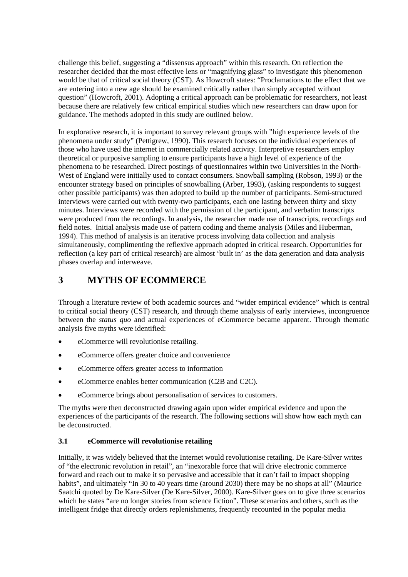challenge this belief, suggesting a "dissensus approach" within this research. On reflection the researcher decided that the most effective lens or "magnifying glass" to investigate this phenomenon would be that of critical social theory (CST). As Howcroft states: "Proclamations to the effect that we are entering into a new age should be examined critically rather than simply accepted without question" (Howcroft, 2001). Adopting a critical approach can be problematic for researchers, not least because there are relatively few critical empirical studies which new researchers can draw upon for guidance. The methods adopted in this study are outlined below.

In explorative research, it is important to survey relevant groups with "high experience levels of the phenomena under study" (Pettigrew, 1990). This research focuses on the individual experiences of those who have used the internet in commercially related activity. Interpretive researchers employ theoretical or purposive sampling to ensure participants have a high level of experience of the phenomena to be researched. Direct postings of questionnaires within two Universities in the North-West of England were initially used to contact consumers. Snowball sampling (Robson, 1993) or the encounter strategy based on principles of snowballing (Arber, 1993), (asking respondents to suggest other possible participants) was then adopted to build up the number of participants. Semi-structured interviews were carried out with twenty-two participants, each one lasting between thirty and sixty minutes. Interviews were recorded with the permission of the participant, and verbatim transcripts were produced from the recordings. In analysis, the researcher made use of transcripts, recordings and field notes. Initial analysis made use of pattern coding and theme analysis (Miles and Huberman, 1994). This method of analysis is an iterative process involving data collection and analysis simultaneously, complimenting the reflexive approach adopted in critical research. Opportunities for reflection (a key part of critical research) are almost 'built in' as the data generation and data analysis phases overlap and interweave.

### **3 MYTHS OF ECOMMERCE**

Through a literature review of both academic sources and "wider empirical evidence" which is central to critical social theory (CST) research, and through theme analysis of early interviews, incongruence between the *status quo* and actual experiences of eCommerce became apparent. Through thematic analysis five myths were identified:

- eCommerce will revolutionise retailing.
- eCommerce offers greater choice and convenience
- eCommerce offers greater access to information
- eCommerce enables better communication (C2B and C2C).
- eCommerce brings about personalisation of services to customers.

The myths were then deconstructed drawing again upon wider empirical evidence and upon the experiences of the participants of the research. The following sections will show how each myth can be deconstructed.

#### **3.1 eCommerce will revolutionise retailing**

Initially, it was widely believed that the Internet would revolutionise retailing. De Kare-Silver writes of "the electronic revolution in retail", an "inexorable force that will drive electronic commerce forward and reach out to make it so pervasive and accessible that it can't fail to impact shopping habits", and ultimately "In 30 to 40 years time (around 2030) there may be no shops at all" (Maurice Saatchi quoted by De Kare-Silver (De Kare-Silver, 2000). Kare-Silver goes on to give three scenarios which he states "are no longer stories from science fiction". These scenarios and others, such as the intelligent fridge that directly orders replenishments, frequently recounted in the popular media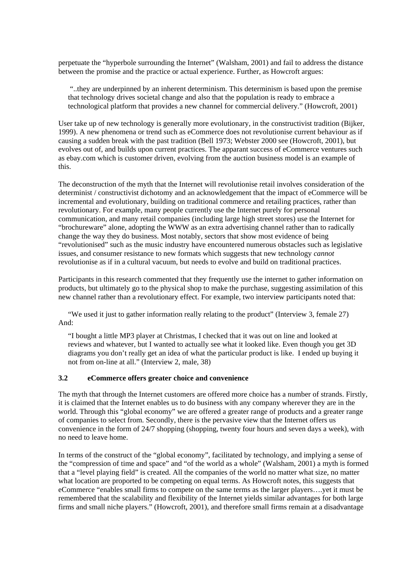perpetuate the "hyperbole surrounding the Internet" (Walsham, 2001) and fail to address the distance between the promise and the practice or actual experience. Further, as Howcroft argues:

 "..they are underpinned by an inherent determinism. This determinism is based upon the premise that technology drives societal change and also that the population is ready to embrace a technological platform that provides a new channel for commercial delivery." (Howcroft, 2001)

User take up of new technology is generally more evolutionary, in the constructivist tradition (Bijker, 1999). A new phenomena or trend such as eCommerce does not revolutionise current behaviour as if causing a sudden break with the past tradition (Bell 1973; Webster 2000 see (Howcroft, 2001), but evolves out of, and builds upon current practices. The apparant success of eCommerce ventures such as ebay.com which is customer driven, evolving from the auction business model is an example of this.

The deconstruction of the myth that the Internet will revolutionise retail involves consideration of the determinist / constructivist dichotomy and an acknowledgement that the impact of eCommerce will be incremental and evolutionary, building on traditional commerce and retailing practices, rather than revolutionary. For example, many people currently use the Internet purely for personal communication, and many retail companies (including large high street stores) use the Internet for "brochureware" alone, adopting the WWW as an extra advertising channel rather than to radically change the way they do business. Most notably, sectors that show most evidence of being "revolutionised" such as the music industry have encountered numerous obstacles such as legislative issues, and consumer resistance to new formats which suggests that new technology *cannot* revolutionise as if in a cultural vacuum, but needs to evolve and build on traditional practices.

Participants in this research commented that they frequently use the internet to gather information on products, but ultimately go to the physical shop to make the purchase, suggesting assimilation of this new channel rather than a revolutionary effect. For example, two interview participants noted that:

"We used it just to gather information really relating to the product" (Interview 3, female 27) And:

"I bought a little MP3 player at Christmas, I checked that it was out on line and looked at reviews and whatever, but I wanted to actually see what it looked like. Even though you get 3D diagrams you don't really get an idea of what the particular product is like. I ended up buying it not from on-line at all." (Interview 2, male, 38)

#### **3.2 eCommerce offers greater choice and convenience**

The myth that through the Internet customers are offered more choice has a number of strands. Firstly, it is claimed that the Internet enables us to do business with any company wherever they are in the world. Through this "global economy" we are offered a greater range of products and a greater range of companies to select from. Secondly, there is the pervasive view that the Internet offers us convenience in the form of 24/7 shopping (shopping, twenty four hours and seven days a week), with no need to leave home.

In terms of the construct of the "global economy", facilitated by technology, and implying a sense of the "compression of time and space" and "of the world as a whole" (Walsham, 2001) a myth is formed that a "level playing field" is created. All the companies of the world no matter what size, no matter what location are proported to be competing on equal terms. As Howcroft notes, this suggests that eCommerce "enables small firms to compete on the same terms as the larger players….yet it must be remembered that the scalability and flexibility of the Internet yields similar advantages for both large firms and small niche players." (Howcroft, 2001), and therefore small firms remain at a disadvantage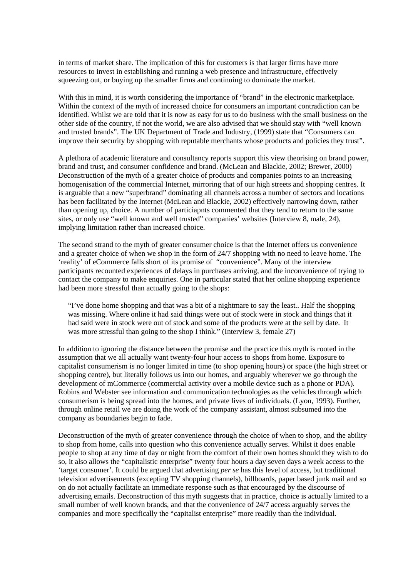in terms of market share. The implication of this for customers is that larger firms have more resources to invest in establishing and running a web presence and infrastructure, effectively squeezing out, or buying up the smaller firms and continuing to dominate the market.

With this in mind, it is worth considering the importance of "brand" in the electronic marketplace. Within the context of the myth of increased choice for consumers an important contradiction can be identified. Whilst we are told that it is now as easy for us to do business with the small business on the other side of the country, if not the world, we are also advised that we should stay with "well known and trusted brands". The UK Department of Trade and Industry, (1999) state that "Consumers can improve their security by shopping with reputable merchants whose products and policies they trust".

A plethora of academic literature and consultancy reports support this view theorising on brand power, brand and trust, and consumer confidence and brand. (McLean and Blackie, 2002; Brewer, 2000) Deconstruction of the myth of a greater choice of products and companies points to an increasing homogenisation of the commercial Internet, mirroring that of our high streets and shopping centres. It is arguable that a new "superbrand" dominating all channels across a number of sectors and locations has been facilitated by the Internet (McLean and Blackie, 2002) effectively narrowing down, rather than opening up, choice. A number of particiapnts commented that they tend to return to the same sites, or only use "well known and well trusted" companies' websites (Interview 8, male, 24), implying limitation rather than increased choice.

The second strand to the myth of greater consumer choice is that the Internet offers us convenience and a greater choice of when we shop in the form of 24/7 shopping with no need to leave home. The 'reality' of eCommerce falls short of its promise of "convenience". Many of the interview participants recounted experiences of delays in purchases arriving, and the inconvenience of trying to contact the company to make enquiries. One in particular stated that her online shopping experience had been more stressful than actually going to the shops:

"I've done home shopping and that was a bit of a nightmare to say the least.. Half the shopping was missing. Where online it had said things were out of stock were in stock and things that it had said were in stock were out of stock and some of the products were at the sell by date. It was more stressful than going to the shop I think." (Interview 3, female 27)

In addition to ignoring the distance between the promise and the practice this myth is rooted in the assumption that we all actually want twenty-four hour access to shops from home. Exposure to capitalist consumerism is no longer limited in time (to shop opening hours) or space (the high street or shopping centre), but literally follows us into our homes, and arguably wherever we go through the development of mCommerce (commercial activity over a mobile device such as a phone or PDA). Robins and Webster see information and communication technologies as the vehicles through which consumerism is being spread into the homes, and private lives of individuals. (Lyon, 1993). Further, through online retail we are doing the work of the company assistant, almost subsumed into the company as boundaries begin to fade.

Deconstruction of the myth of greater convenience through the choice of when to shop, and the ability to shop from home, calls into question who this convenience actually serves. Whilst it does enable people to shop at any time of day or night from the comfort of their own homes should they wish to do so, it also allows the "capitalistic enterprise" twenty four hours a day seven days a week access to the 'target consumer'. It could be argued that advertising *per se* has this level of access, but traditional television advertisements (excepting TV shopping channels), billboards, paper based junk mail and so on do not actually facilitate an immediate response such as that encouraged by the discourse of advertising emails. Deconstruction of this myth suggests that in practice, choice is actually limited to a small number of well known brands, and that the convenience of 24/7 access arguably serves the companies and more specifically the "capitalist enterprise" more readily than the individual.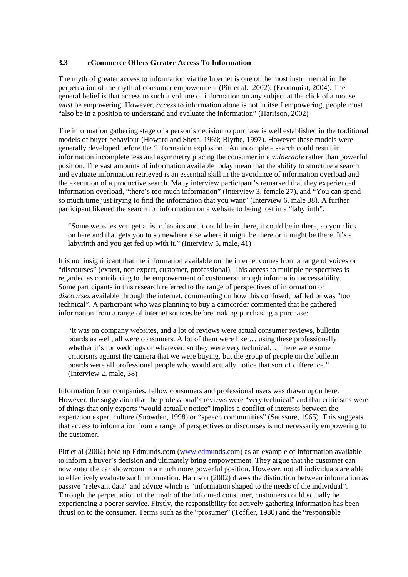#### **3.3 eCommerce Offers Greater Access To Information**

The myth of greater access to information via the Internet is one of the most instrumental in the perpetuation of the myth of consumer empowerment (Pitt et al. 2002), (Economist, 2004). The general belief is that access to such a volume of information on any subject at the click of a mouse *must* be empowering. However, *access* to information alone is not in itself empowering, people must "also be in a position to understand and evaluate the information" (Harrison, 2002)

The information gathering stage of a person's decision to purchase is well established in the traditional models of buyer behaviour (Howard and Sheth, 1969; Blythe, 1997). However these models were generally developed before the 'information explosion'. An incomplete search could result in information incompleteness and asymmetry placing the consumer in a *vulnerable* rather than powerful position. The vast amounts of information available today mean that the ability to structure a search and evaluate information retrieved is an essential skill in the avoidance of information overload and the execution of a productive search. Many interview participant's remarked that they experienced information overload, "there's too much information" (Interview 3, female 27), and "You can spend so much time just trying to find the information that you want" (Interview 6, male 38). A further participant likened the search for information on a website to being lost in a "labyrinth":

"Some websites you get a list of topics and it could be in there, it could be in there, so you click on here and that gets you to somewhere else where it might be there or it might be there. It's a labyrinth and you get fed up with it." (Interview 5, male, 41)

It is not insignificant that the information available on the internet comes from a range of voices or "discourses" (expert, non expert, customer, professional). This access to multiple perspectives is regarded as contributing to the empowerment of customers through information accessability. Some participants in this research referred to the range of perspectives of information or *discourses* available through the internet, commenting on how this confused, baffled or was "too technical". A participant who was planning to buy a camcorder commented that he gathered information from a range of internet sources before making purchasing a purchase:

"It was on company websites, and a lot of reviews were actual consumer reviews, bulletin boards as well, all were consumers. A lot of them were like … using these professionally whether it's for weddings or whatever, so they were very technical... There were some criticisms against the camera that we were buying, but the group of people on the bulletin boards were all professional people who would actually notice that sort of difference." (Interview 2, male, 38)

Information from companies, fellow consumers and professional users was drawn upon here. However, the suggestion that the professional's reviews were "very technical" and that criticisms were of things that only experts "would actually notice" implies a conflict of interests between the expert/non expert culture (Snowden, 1998) or "speech communities" (Saussure, 1965). This suggests that access to information from a range of perspectives or discourses is not necessarily empowering to the customer.

Pitt et al (2002) hold up Edmunds.com (www.edmunds.com) as an example of information available to inform a buyer's decision and ultimately bring empowerment. They argue that the customer can now enter the car showroom in a much more powerful position. However, not all individuals are able to effectively evaluate such information. Harrison (2002) draws the distinction between information as passive "relevant data" and advice which is "information shaped to the needs of the individual". Through the perpetuation of the myth of the informed consumer, customers could actually be experiencing a poorer service. Firstly, the responsibility for actively gathering information has been thrust on to the consumer. Terms such as the "prosumer" (Toffler, 1980) and the "responsible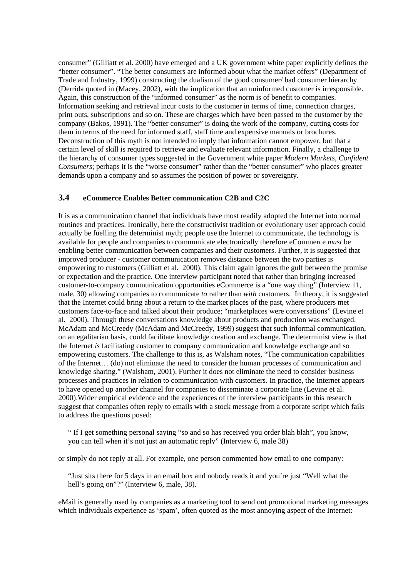consumer" (Gilliatt et al. 2000) have emerged and a UK government white paper explicitly defines the "better consumer". "The better consumers are informed about what the market offers" (Department of Trade and Industry, 1999) constructing the dualism of the good consumer/ bad consumer hierarchy (Derrida quoted in (Macey, 2002), with the implication that an uninformed customer is irresponsible. Again, this construction of the "informed consumer" as the norm is of benefit to companies. Information seeking and retrieval incur costs to the customer in terms of time, connection charges, print outs, subscriptions and so on. These are charges which have been passed to the customer by the company (Bakos, 1991). The "better consumer" is doing the work of the company, cutting costs for them in terms of the need for informed staff, staff time and expensive manuals or brochures. Deconstruction of this myth is not intended to imply that information cannot empower, but that a certain level of skill is required to retrieve and evaluate relevant information. Finally, a challenge to the hierarchy of consumer types suggested in the Government white paper *Modern Markets, Confident Consumers*; perhaps it is the "worse consumer" rather than the "better consumer" who places greater demands upon a company and so assumes the position of power or sovereignty.

#### **3.4 eCommerce Enables Better communication C2B and C2C**

It is as a communication channel that individuals have most readily adopted the Internet into normal routines and practices. Ironically, here the constructivist tradition or evolutionary user approach could actually be fuelling the determinist myth; people use the Internet to communicate, the technology is available for people and companies to communicate electronically therefore eCommerce *must* be enabling better communication between companies and their customers. Further, it is suggested that improved producer - customer communication removes distance between the two parties is empowering to customers (Gilliatt et al. 2000). This claim again ignores the gulf between the promise or expectation and the practice. One interview participant noted that rather than bringing increased customer-to-company communication opportunities eCommerce is a "one way thing" (Interview 11, male, 30) allowing companies to communicate *to* rather than *with* customers. In theory, it is suggested that the Internet could bring about a return to the market places of the past, where producers met customers face-to-face and talked about their produce; "marketplaces were conversations" (Levine et al. 2000). Through these conversations knowledge about products and production was exchanged. McAdam and McCreedy (McAdam and McCreedy, 1999) suggest that such informal communication, on an egalitarian basis, could facilitate knowledge creation and exchange. The determinist view is that the Internet *is* facilitating customer to company communication and knowledge exchange and so empowering customers. The challenge to this is, as Walsham notes, "The communication capabilities of the Internet… (do) not eliminate the need to consider the human processes of communication and knowledge sharing." (Walsham, 2001). Further it does not eliminate the need to consider business processes and practices in relation to communication with customers. In practice, the Internet appears to have opened up another channel for companies to disseminate a corporate line (Levine et al. 2000).Wider empirical evidence and the experiences of the interview participants in this research suggest that companies often reply to emails with a stock message from a corporate script which fails to address the questions posed:

" If I get something personal saying "so and so has received you order blah blah", you know, you can tell when it's not just an automatic reply" (Interview 6, male 38)

or simply do not reply at all. For example, one person commented how email to one company:

"Just sits there for 5 days in an email box and nobody reads it and you're just "Well what the hell's going on"?" (Interview 6, male, 38).

eMail is generally used by companies as a marketing tool to send out promotional marketing messages which individuals experience as 'spam', often quoted as the most annoying aspect of the Internet: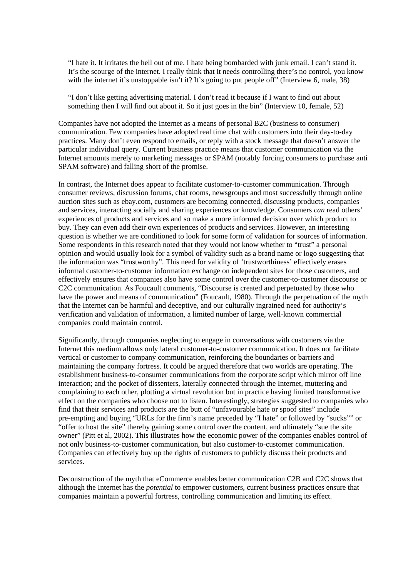"I hate it. It irritates the hell out of me. I hate being bombarded with junk email. I can't stand it. It's the scourge of the internet. I really think that it needs controlling there's no control, you know with the internet it's unstoppable isn't it? It's going to put people off" (Interview 6, male, 38)

"I don't like getting advertising material. I don't read it because if I want to find out about something then I will find out about it. So it just goes in the bin" (Interview 10, female, 52)

Companies have not adopted the Internet as a means of personal B2C (business to consumer) communication. Few companies have adopted real time chat with customers into their day-to-day practices. Many don't even respond to emails, or reply with a stock message that doesn't answer the particular individual query. Current business practice means that customer communication via the Internet amounts merely to marketing messages or SPAM (notably forcing consumers to purchase anti SPAM software) and falling short of the promise.

In contrast, the Internet does appear to facilitate customer-to-customer communication. Through consumer reviews, discussion forums, chat rooms, newsgroups and most successfully through online auction sites such as ebay.com, customers are becoming connected, discussing products, companies and services, interacting socially and sharing experiences or knowledge. Consumers *can* read others' experiences of products and services and so make a more informed decision over which product to buy. They can even add their own experiences of products and services. However, an interesting question is whether we are conditioned to look for some form of validation for sources of information. Some respondents in this research noted that they would not know whether to "trust" a personal opinion and would usually look for a symbol of validity such as a brand name or logo suggesting that the information was "trustworthy". This need for validity of 'trustworthiness' effectively erases informal customer-to-customer information exchange on independent sites for those customers, and effectively ensures that companies also have some control over the customer-to-customer discourse or C2C communication. As Foucault comments, "Discourse is created and perpetuated by those who have the power and means of communication" (Foucault, 1980). Through the perpetuation of the myth that the Internet can be harmful and deceptive, and our culturally ingrained need for authority's verification and validation of information, a limited number of large, well-known commercial companies could maintain control.

Significantly, through companies neglecting to engage in conversations with customers via the Internet this medium allows only lateral customer-to-customer communication. It does not facilitate vertical or customer to company communication, reinforcing the boundaries or barriers and maintaining the company fortress. It could be argued therefore that two worlds are operating. The establishment business-to-consumer communications from the corporate script which mirror off line interaction; and the pocket of dissenters, laterally connected through the Internet, muttering and complaining to each other, plotting a virtual revolution but in practice having limited transformative effect on the companies who choose not to listen. Interestingly, strategies suggested to companies who find that their services and products are the butt of "unfavourable hate or spoof sites" include pre-empting and buying "URLs for the firm's name preceded by "I hate" or followed by "sucks"" or "offer to host the site" thereby gaining some control over the content, and ultimately "sue the site owner" (Pitt et al, 2002). This illustrates how the economic power of the companies enables control of not only business-to-customer communication, but also customer-to-customer communication. Companies can effectively buy up the rights of customers to publicly discuss their products and services.

Deconstruction of the myth that eCommerce enables better communication C2B and C2C shows that although the Internet has the *potential* to empower customers, current business practices ensure that companies maintain a powerful fortress, controlling communication and limiting its effect.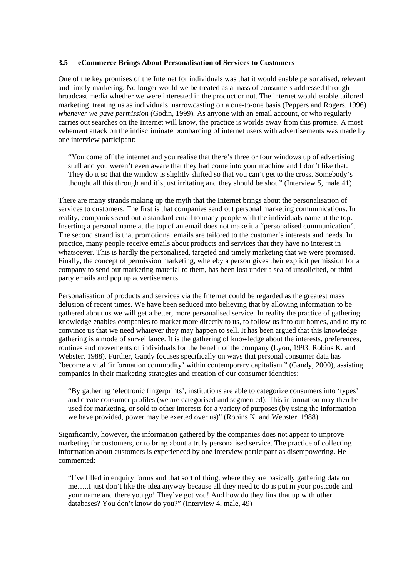#### **3.5 eCommerce Brings About Personalisation of Services to Customers**

One of the key promises of the Internet for individuals was that it would enable personalised, relevant and timely marketing. No longer would we be treated as a mass of consumers addressed through broadcast media whether we were interested in the product or not. The internet would enable tailored marketing, treating us as individuals, narrowcasting on a one-to-one basis (Peppers and Rogers, 1996) *whenever we gave permission* (Godin, 1999)*.* As anyone with an email account, or who regularly carries out searches on the Internet will know, the practice is worlds away from this promise. A most vehement attack on the indiscriminate bombarding of internet users with advertisements was made by one interview participant:

"You come off the internet and you realise that there's three or four windows up of advertising stuff and you weren't even aware that they had come into your machine and I don't like that. They do it so that the window is slightly shifted so that you can't get to the cross. Somebody's thought all this through and it's just irritating and they should be shot." (Interview 5, male 41)

There are many strands making up the myth that the Internet brings about the personalisation of services to customers. The first is that companies send out personal marketing communications. In reality, companies send out a standard email to many people with the individuals name at the top. Inserting a personal name at the top of an email does not make it a "personalised communication". The second strand is that promotional emails are tailored to the customer's interests and needs. In practice, many people receive emails about products and services that they have no interest in whatsoever. This is hardly the personalised, targeted and timely marketing that we were promised. Finally, the concept of permission marketing, whereby a person gives their explicit permission for a company to send out marketing material to them, has been lost under a sea of unsolicited, or third party emails and pop up advertisements.

Personalisation of products and services via the Internet could be regarded as the greatest mass delusion of recent times. We have been seduced into believing that by allowing information to be gathered about us we will get a better, more personalised service. In reality the practice of gathering knowledge enables companies to market more directly to us, to follow us into our homes, and to try to convince us that we need whatever they may happen to sell. It has been argued that this knowledge gathering is a mode of surveillance. It is the gathering of knowledge about the interests, preferences, routines and movements of individuals for the benefit of the company (Lyon, 1993; Robins K. and Webster, 1988). Further, Gandy focuses specifically on ways that personal consumer data has "become a vital 'information commodity' within contemporary capitalism." (Gandy, 2000), assisting companies in their marketing strategies and creation of our consumer identities:

"By gathering 'electronic fingerprints', institutions are able to categorize consumers into 'types' and create consumer profiles (we are categorised and segmented). This information may then be used for marketing, or sold to other interests for a variety of purposes (by using the information we have provided, power may be exerted over us)" (Robins K. and Webster, 1988).

Significantly, however, the information gathered by the companies does not appear to improve marketing for customers, or to bring about a truly personalised service. The practice of collecting information about customers is experienced by one interview participant as disempowering. He commented:

"I've filled in enquiry forms and that sort of thing, where they are basically gathering data on me…..I just don't like the idea anyway because all they need to do is put in your postcode and your name and there you go! They've got you! And how do they link that up with other databases? You don't know do you?" (Interview 4, male, 49)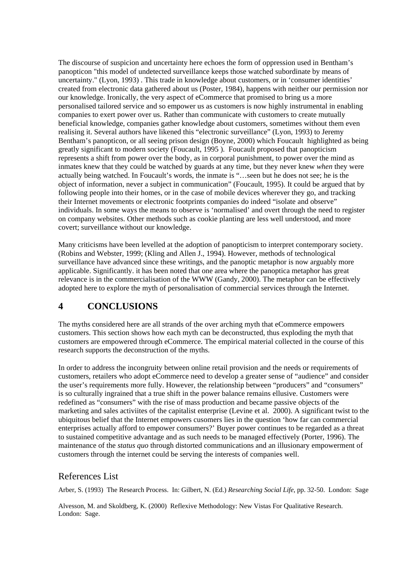The discourse of suspicion and uncertainty here echoes the form of oppression used in Bentham's panopticon "this model of undetected surveillance keeps those watched subordinate by means of uncertainty." (Lyon, 1993) . This trade in knowledge about customers, or in 'consumer identities' created from electronic data gathered about us (Poster, 1984), happens with neither our permission nor our knowledge. Ironically, the very aspect of eCommerce that promised to bring us a more personalised tailored service and so empower us as customers is now highly instrumental in enabling companies to exert power over us. Rather than communicate with customers to create mutually beneficial knowledge, companies gather knowledge about customers, sometimes without them even realising it. Several authors have likened this "electronic surveillance" (Lyon, 1993) to Jeremy Bentham's panopticon, or all seeing prison design (Boyne, 2000) which Foucault highlighted as being greatly significant to modern society (Foucault, 1995 ). Foucault proposed that panopticism represents a shift from power over the body, as in corporal punishment, to power over the mind as inmates knew that they could be watched by guards at any time, but they never knew *when* they were actually being watched. In Foucault's words, the inmate is "…seen but he does not see; he is the object of information, never a subject in communication" (Foucault, 1995). It could be argued that by following people into their homes, or in the case of mobile devices wherever they go, and tracking their Internet movements or electronic footprints companies do indeed "isolate and observe" individuals. In some ways the means to observe is 'normalised' and overt through the need to register on company websites. Other methods such as cookie planting are less well understood, and more covert; surveillance without our knowledge.

Many criticisms have been levelled at the adoption of panopticism to interpret contemporary society. (Robins and Webster, 1999; (Kling and Allen J., 1994). However, methods of technological surveillance have advanced since these writings, and the panoptic metaphor is now arguably more applicable. Significantly. it has been noted that one area where the panoptica metaphor has great relevance is in the commercialisation of the WWW (Gandy, 2000). The metaphor can be effectively adopted here to explore the myth of personalisation of commercial services through the Internet.

### **4 CONCLUSIONS**

The myths considered here are all strands of the over arching myth that eCommerce empowers customers. This section shows how each myth can be deconstructed, thus exploding the myth that customers are empowered through eCommerce. The empirical material collected in the course of this research supports the deconstruction of the myths.

In order to address the incongruity between online retail provision and the needs or requirements of customers, retailers who adopt eCommerce need to develop a greater sense of "audience" and consider the user's requirements more fully. However, the relationship between "producers" and "consumers" is so culturally ingrained that a true shift in the power balance remains ellusive. Customers were redefined as "consumers" with the rise of mass production and became passive objects of the marketing and sales activiites of the capitalist enterprise (Levine et al. 2000). A significant twist to the ubiquitous belief that the Internet empowers cusomers lies in the question 'how far can commercial enterprises actually afford to empower consumers?' Buyer power continues to be regarded as a threat to sustained competitive advantage and as such needs to be managed effectively (Porter, 1996). The maintenance of the *status quo* through distorted communications and an illusionary empowerment of customers through the internet could be serving the interests of companies well.

### References List

Arber, S. (1993) The Research Process. In: Gilbert, N. (Ed.) *Researching Social Life*, pp. 32-50. London: Sage

Alvesson, M. and Skoldberg, K. (2000) Reflexive Methodology: New Vistas For Qualitative Research. London: Sage.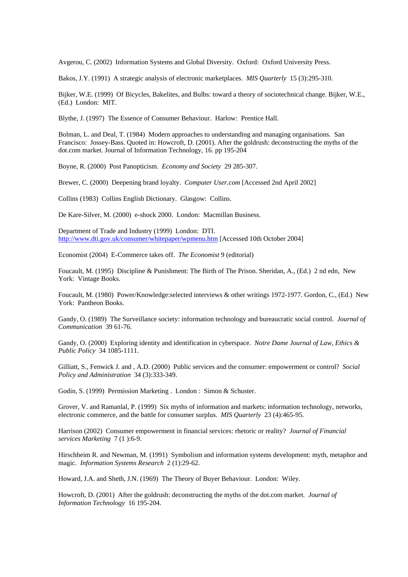Avgerou, C. (2002) Information Systems and Global Diversity. Oxford: Oxford University Press.

Bakos, J.Y. (1991) A strategic analysis of electronic marketplaces. *MIS Quarterly* 15 (3):295-310.

Bijker, W.E. (1999) Of Bicycles, Bakelites, and Bulbs: toward a theory of sociotechnical change. Bijker, W.E., (Ed.) London: MIT.

Blythe, J. (1997) The Essence of Consumer Behaviour. Harlow: Prentice Hall.

Bolman, L. and Deal, T. (1984) Modern approaches to understanding and managing organisations. San Francisco: Jossey-Bass. Quoted in: Howcroft, D. (2001). After the goldrush: deconstructing the myths of the dot.com market. Journal of Information Technology, 16. pp 195-204

Boyne, R. (2000) Post Panopticism. *Economy and Society* 29 285-307.

Brewer, C. (2000) Deepening brand loyalty. *Computer User.com* [Accessed 2nd April 2002]

Collins (1983) Collins English Dictionary. Glasgow: Collins.

De Kare-Silver, M. (2000) e-shock 2000. London: Macmillan Business.

Department of Trade and Industry (1999) London: DTI. http://www.dti.gov.uk/consumer/whitepaper/wpmenu.htm [Accessed 10th October 2004]

Economist (2004) E-Commerce takes off. *The Economist* 9 (editorial)

Foucault, M. (1995) Discipline & Punishment: The Birth of The Prison. Sheridan, A., (Ed.) 2 nd edn, New York: Vintage Books.

Foucault, M. (1980) Power/Knowledge:selected interviews & other writings 1972-1977. Gordon, C., (Ed.) New York: Pantheon Books.

Gandy, O. (1989) The Surveillance society: information technology and bureaucratic social control. *Journal of Communication* 39 61-76.

Gandy, O. (2000) Exploring identity and identification in cyberspace. *Notre Dame Journal of Law, Ethics & Public Policy* 34 1085-1111.

Gilliatt, S., Fenwick J. and , A.D. (2000) Public services and the consumer: empowerment or control? *Social Policy and Administration* 34 (3):333-349.

Godin, S. (1999) Permission Marketing . London : Simon & Schuster.

Grover, V. and Ramanlal, P. (1999) Six myths of information and markets: information technology, networks, electronic commerce, and the battle for consumer surplus. *MIS Quarterly* 23 (4):465-95.

Harrison (2002) Consumer empowerment in financial services: rhetoric or reality? *Journal of Financial services Marketing* 7 (1 ):6-9.

Hirschheim R. and Newman, M. (1991) Symbolism and information systems development: myth, metaphor and magic. *Information Systems Research* 2 (1):29-62.

Howard, J.A. and Sheth, J.N. (1969) The Theory of Buyer Behaviour. London: Wiley.

Howcroft, D. (2001) After the goldrush: deconstructing the myths of the dot.com market. *Journal of Information Technology* 16 195-204.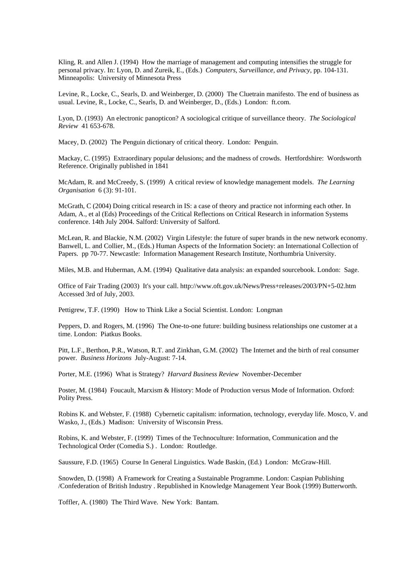Kling, R. and Allen J. (1994) How the marriage of management and computing intensifies the struggle for personal privacy. In: Lyon, D. and Zureik, E., (Eds.) *Computers, Surveillance, and Privacy*, pp. 104-131. Minneapolis: University of Minnesota Press

Levine, R., Locke, C., Searls, D. and Weinberger, D. (2000) The Cluetrain manifesto. The end of business as usual. Levine, R., Locke, C., Searls, D. and Weinberger, D., (Eds.) London: ft.com.

Lyon, D. (1993) An electronic panopticon? A sociological critique of surveillance theory. *The Sociological Review* 41 653-678.

Macey, D. (2002) The Penguin dictionary of critical theory. London: Penguin.

Mackay, C. (1995) Extraordinary popular delusions; and the madness of crowds. Hertfordshire: Wordsworth Reference. Originally published in 1841

McAdam, R. and McCreedy, S. (1999) A critical review of knowledge management models. *The Learning Organisation* 6 (3): 91-101.

McGrath, C (2004) Doing critical research in IS: a case of theory and practice not informing each other. In Adam, A., et al (Eds) Proceedings of the Critical Reflections on Critical Research in information Systems conference. 14th July 2004. Salford: University of Salford.

McLean, R. and Blackie, N.M. (2002) Virgin Lifestyle: the future of super brands in the new network economy. Banwell, L. and Collier, M., (Eds.) Human Aspects of the Information Society: an International Collection of Papers. pp 70-77. Newcastle: Information Management Research Institute, Northumbria University.

Miles, M.B. and Huberman, A.M. (1994) Qualitative data analysis: an expanded sourcebook. London: Sage.

Office of Fair Trading (2003) It's your call. http://www.oft.gov.uk/News/Press+releases/2003/PN+5-02.htm Accessed 3rd of July, 2003.

Pettigrew, T.F. (1990) How to Think Like a Social Scientist. London: Longman

Peppers, D. and Rogers, M. (1996) The One-to-one future: building business relationships one customer at a time. London: Piatkus Books.

Pitt, L.F., Berthon, P.R., Watson, R.T. and Zinkhan, G.M. (2002) The Internet and the birth of real consumer power. *Business Horizons* July-August: 7-14.

Porter, M.E. (1996) What is Strategy? *Harvard Business Review* November-December

Poster, M. (1984) Foucault, Marxism & History: Mode of Production versus Mode of Information. Oxford: Polity Press.

Robins K. and Webster, F. (1988) Cybernetic capitalism: information, technology, everyday life. Mosco, V. and Wasko, J., (Eds.) Madison: University of Wisconsin Press.

Robins, K. and Webster, F. (1999) Times of the Technoculture: Information, Communication and the Technological Order (Comedia S.) . London: Routledge.

Saussure, F.D. (1965) Course In General Linguistics. Wade Baskin, (Ed.) London: McGraw-Hill.

Snowden, D. (1998) A Framework for Creating a Sustainable Programme. London: Caspian Publishing /Confederation of British Industry . Republished in Knowledge Management Year Book (1999) Butterworth.

Toffler, A. (1980) The Third Wave. New York: Bantam.